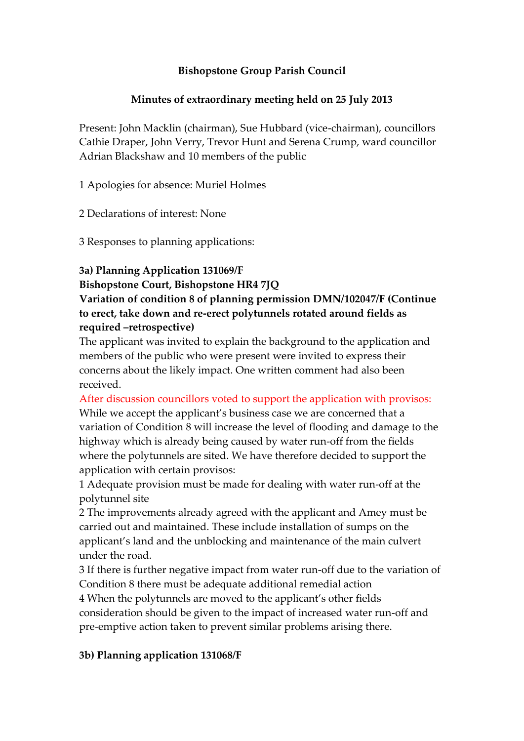### **Bishopstone Group Parish Council**

### **Minutes of extraordinary meeting held on 25 July 2013**

Present: John Macklin (chairman), Sue Hubbard (vice-chairman), councillors Cathie Draper, John Verry, Trevor Hunt and Serena Crump, ward councillor Adrian Blackshaw and 10 members of the public

1 Apologies for absence: Muriel Holmes

2 Declarations of interest: None

3 Responses to planning applications:

#### **3a) Planning Application 131069/F**

#### **Bishopstone Court, Bishopstone HR4 7JQ**

## **Variation of condition 8 of planning permission DMN/102047/F (Continue to erect, take down and re-erect polytunnels rotated around fields as required –retrospective)**

The applicant was invited to explain the background to the application and members of the public who were present were invited to express their concerns about the likely impact. One written comment had also been received.

After discussion councillors voted to support the application with provisos: While we accept the applicant's business case we are concerned that a variation of Condition 8 will increase the level of flooding and damage to the highway which is already being caused by water run-off from the fields where the polytunnels are sited. We have therefore decided to support the application with certain provisos:

1 Adequate provision must be made for dealing with water run-off at the polytunnel site

2 The improvements already agreed with the applicant and Amey must be carried out and maintained. These include installation of sumps on the applicant's land and the unblocking and maintenance of the main culvert under the road.

3 If there is further negative impact from water run-off due to the variation of Condition 8 there must be adequate additional remedial action

4 When the polytunnels are moved to the applicant's other fields consideration should be given to the impact of increased water run-off and pre-emptive action taken to prevent similar problems arising there.

# **3b) Planning application 131068/F**